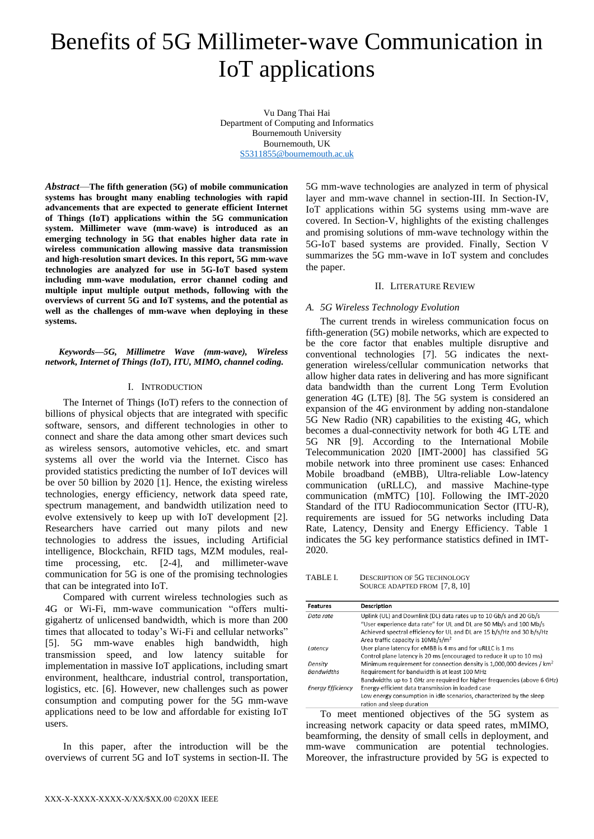# Benefits of 5G Millimeter-wave Communication in IoT applications

Vu Dang Thai Hai Department of Computing and Informatics Bournemouth University Bournemouth, UK [S5311855@bournemouth.ac.uk](mailto:S5311855@bournemouth.ac.uk)

*Abstract*—**The fifth generation (5G) of mobile communication systems has brought many enabling technologies with rapid advancements that are expected to generate efficient Internet of Things (IoT) applications within the 5G communication system. Millimeter wave (mm-wave) is introduced as an emerging technology in 5G that enables higher data rate in wireless communication allowing massive data transmission and high-resolution smart devices. In this report, 5G mm-wave technologies are analyzed for use in 5G-IoT based system including mm-wave modulation, error channel coding and multiple input multiple output methods, following with the overviews of current 5G and IoT systems, and the potential as well as the challenges of mm-wave when deploying in these systems.**

*Keywords—5G, Millimetre Wave (mm-wave), Wireless network, Internet of Things (IoT), ITU, MIMO, channel coding.*

# I. INTRODUCTION

The Internet of Things (IoT) refers to the connection of billions of physical objects that are integrated with specific software, sensors, and different technologies in other to connect and share the data among other smart devices such as wireless sensors, automotive vehicles, etc. and smart systems all over the world via the Internet. Cisco has provided statistics predicting the number of IoT devices will be over 50 billion by 2020 [1]. Hence, the existing wireless technologies, energy efficiency, network data speed rate, spectrum management, and bandwidth utilization need to evolve extensively to keep up with IoT development [2]. Researchers have carried out many pilots and new technologies to address the issues, including Artificial intelligence, Blockchain, RFID tags, MZM modules, realtime processing, etc. [2-4], and millimeter-wave communication for 5G is one of the promising technologies that can be integrated into IoT.

Compared with current wireless technologies such as 4G or Wi-Fi, mm-wave communication "offers multigigahertz of unlicensed bandwidth, which is more than 200 times that allocated to today's Wi-Fi and cellular networks" [5]. 5G mm-wave enables high bandwidth, high transmission speed, and low latency suitable for implementation in massive IoT applications, including smart environment, healthcare, industrial control, transportation, logistics, etc. [6]. However, new challenges such as power consumption and computing power for the 5G mm-wave applications need to be low and affordable for existing IoT users.

In this paper, after the introduction will be the overviews of current 5G and IoT systems in section-II. The

5G mm-wave technologies are analyzed in term of physical layer and mm-wave channel in section-III. In Section-IV, IoT applications within 5G systems using mm-wave are covered. In Section-V, highlights of the existing challenges and promising solutions of mm-wave technology within the 5G-IoT based systems are provided. Finally, Section V summarizes the 5G mm-wave in IoT system and concludes the paper.

# II. LITERATURE REVIEW

# *A. 5G Wireless Technology Evolution*

The current trends in wireless communication focus on fifth-generation (5G) mobile networks, which are expected to be the core factor that enables multiple disruptive and conventional technologies [7]. 5G indicates the nextgeneration wireless/cellular communication networks that allow higher data rates in delivering and has more significant data bandwidth than the current Long Term Evolution generation 4G (LTE) [8]. The 5G system is considered an expansion of the 4G environment by adding non-standalone 5G New Radio (NR) capabilities to the existing 4G, which becomes a dual-connectivity network for both 4G LTE and 5G NR [9]. According to the International Mobile Telecommunication 2020 [IMT-2000] has classified 5G mobile network into three prominent use cases: Enhanced Mobile broadband (eMBB), Ultra-reliable Low-latency communication (uRLLC), and massive Machine-type communication (mMTC) [10]. Following the IMT-2020 Standard of the ITU Radiocommunication Sector (ITU-R), requirements are issued for 5G networks including Data Rate, Latency, Density and Energy Efficiency. Table 1 indicates the 5G key performance statistics defined in IMT-2020.

TABLE I. DESCRIPTION OF 5G TECHNOLOGY SOURCE ADAPTED FROM [7, 8, 10]

| <b>Features</b>          | Description                                                                       |
|--------------------------|-----------------------------------------------------------------------------------|
| Data rate                | Uplink (UL) and Downlink (DL) data rates up to 10 Gb/s and 20 Gb/s                |
|                          | "User experience data rate" for UL and DL are 50 Mb/s and 100 Mb/s                |
|                          | Achieved spectral efficiency for UL and DL are 15 b/s/Hz and 30 b/s/Hz            |
|                          | Area traffic capacity is 10Mb/s/m <sup>2</sup>                                    |
| Latency                  | User plane latency for eMBB is 4 ms and for uRLLC is 1 ms                         |
|                          | Control plane latency is 20 ms (encouraged to reduce it up to 10 ms)              |
| Density                  | Minimum requirement for connection density is 1,000,000 devices / km <sup>2</sup> |
| <b>Bandwidths</b>        | Requirement for bandwidth is at least 100 MHz                                     |
|                          | Bandwidths up to 1 GHz are required for higher frequencies (above 6 GHz)          |
| <b>Eneray Efficiency</b> | Energy-efficient data transmission in loaded case                                 |
|                          | Low energy consumption in idle scenarios, characterized by the sleep              |
|                          | ration and sleep duration                                                         |

To meet mentioned objectives of the 5G system as increasing network capacity or data speed rates, mMIMO, beamforming, the density of small cells in deployment, and mm-wave communication are potential technologies. Moreover, the infrastructure provided by 5G is expected to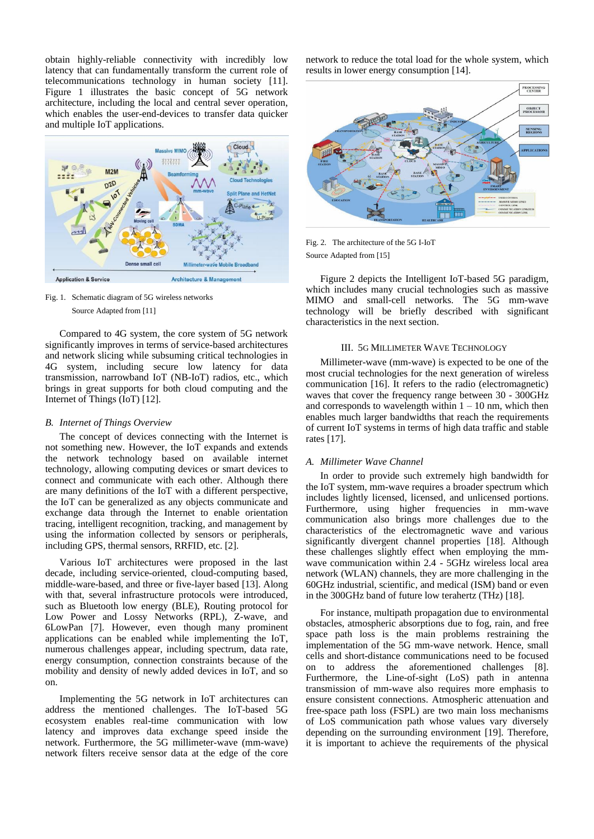obtain highly-reliable connectivity with incredibly low latency that can fundamentally transform the current role of telecommunications technology in human society [11]. Figure 1 illustrates the basic concept of 5G network architecture, including the local and central sever operation, which enables the user-end-devices to transfer data quicker and multiple IoT applications.



Fig. 1. Schematic diagram of 5G wireless networks Source Adapted from [11]

Compared to 4G system, the core system of 5G network significantly improves in terms of service-based architectures and network slicing while subsuming critical technologies in 4G system, including secure low latency for data transmission, narrowband IoT (NB-IoT) radios, etc., which brings in great supports for both cloud computing and the Internet of Things (IoT) [12].

## *B. Internet of Things Overview*

The concept of devices connecting with the Internet is not something new. However, the IoT expands and extends the network technology based on available internet technology, allowing computing devices or smart devices to connect and communicate with each other. Although there are many definitions of the IoT with a different perspective, the IoT can be generalized as any objects communicate and exchange data through the Internet to enable orientation tracing, intelligent recognition, tracking, and management by using the information collected by sensors or peripherals, including GPS, thermal sensors, RRFID, etc. [2].

Various IoT architectures were proposed in the last decade, including service-oriented, cloud-computing based, middle-ware-based, and three or five-layer based [13]. Along with that, several infrastructure protocols were introduced, such as Bluetooth low energy (BLE), Routing protocol for Low Power and Lossy Networks (RPL), Z-wave, and 6LowPan [7]. However, even though many prominent applications can be enabled while implementing the IoT, numerous challenges appear, including spectrum, data rate, energy consumption, connection constraints because of the mobility and density of newly added devices in IoT, and so on.

Implementing the 5G network in IoT architectures can address the mentioned challenges. The IoT-based 5G ecosystem enables real-time communication with low latency and improves data exchange speed inside the network. Furthermore, the 5G millimeter-wave (mm-wave) network filters receive sensor data at the edge of the core network to reduce the total load for the whole system, which results in lower energy consumption [14].



Fig. 2. The architecture of the 5G I-IoT Source Adapted from [15]

Figure 2 depicts the Intelligent IoT-based 5G paradigm, which includes many crucial technologies such as massive MIMO and small-cell networks. The 5G mm-wave technology will be briefly described with significant characteristics in the next section.

## III. 5G MILLIMETER WAVE TECHNOLOGY

Millimeter-wave (mm-wave) is expected to be one of the most crucial technologies for the next generation of wireless communication [16]. It refers to the radio (electromagnetic) waves that cover the frequency range between 30 - 300GHz and corresponds to wavelength within  $1 - 10$  nm, which then enables much larger bandwidths that reach the requirements of current IoT systems in terms of high data traffic and stable rates [17].

# *A. Millimeter Wave Channel*

In order to provide such extremely high bandwidth for the IoT system, mm-wave requires a broader spectrum which includes lightly licensed, licensed, and unlicensed portions. Furthermore, using higher frequencies in mm-wave communication also brings more challenges due to the characteristics of the electromagnetic wave and various significantly divergent channel properties [18]. Although these challenges slightly effect when employing the mmwave communication within 2.4 - 5GHz wireless local area network (WLAN) channels, they are more challenging in the 60GHz industrial, scientific, and medical (ISM) band or even in the 300GHz band of future low terahertz (THz) [18].

For instance, multipath propagation due to environmental obstacles, atmospheric absorptions due to fog, rain, and free space path loss is the main problems restraining the implementation of the 5G mm-wave network. Hence, small cells and short-distance communications need to be focused on to address the aforementioned challenges [8]. Furthermore, the Line-of-sight (LoS) path in antenna transmission of mm-wave also requires more emphasis to ensure consistent connections. Atmospheric attenuation and free-space path loss (FSPL) are two main loss mechanisms of LoS communication path whose values vary diversely depending on the surrounding environment [19]. Therefore, it is important to achieve the requirements of the physical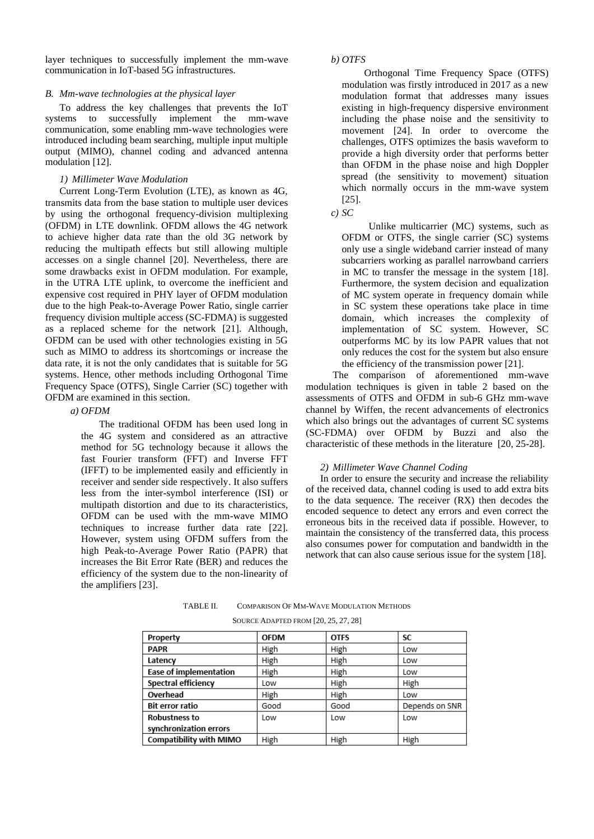layer techniques to successfully implement the mm-wave communication in IoT-based 5G infrastructures.

#### *B. Mm-wave technologies at the physical layer*

To address the key challenges that prevents the IoT systems to successfully implement the mm-wave communication, some enabling mm-wave technologies were introduced including beam searching, multiple input multiple output (MIMO), channel coding and advanced antenna modulation [12].

# *1) Millimeter Wave Modulation*

Current Long-Term Evolution (LTE), as known as 4G, transmits data from the base station to multiple user devices by using the orthogonal frequency-division multiplexing (OFDM) in LTE downlink. OFDM allows the 4G network to achieve higher data rate than the old 3G network by reducing the multipath effects but still allowing multiple accesses on a single channel [20]. Nevertheless, there are some drawbacks exist in OFDM modulation. For example, in the UTRA LTE uplink, to overcome the inefficient and expensive cost required in PHY layer of OFDM modulation due to the high Peak-to-Average Power Ratio, single carrier frequency division multiple access (SC-FDMA) is suggested as a replaced scheme for the network [21]. Although, OFDM can be used with other technologies existing in 5G such as MIMO to address its shortcomings or increase the data rate, it is not the only candidates that is suitable for 5G systems. Hence, other methods including Orthogonal Time Frequency Space (OTFS), Single Carrier (SC) together with OFDM are examined in this section.

#### *a) OFDM*

The traditional OFDM has been used long in the 4G system and considered as an attractive method for 5G technology because it allows the fast Fourier transform (FFT) and Inverse FFT (IFFT) to be implemented easily and efficiently in receiver and sender side respectively. It also suffers less from the inter-symbol interference (ISI) or multipath distortion and due to its characteristics, OFDM can be used with the mm-wave MIMO techniques to increase further data rate [22]. However, system using OFDM suffers from the high Peak-to-Average Power Ratio (PAPR) that increases the Bit Error Rate (BER) and reduces the efficiency of the system due to the non-linearity of the amplifiers [23].

### *b) OTFS*

Orthogonal Time Frequency Space (OTFS) modulation was firstly introduced in 2017 as a new modulation format that addresses many issues existing in high-frequency dispersive environment including the phase noise and the sensitivity to movement [24]. In order to overcome the challenges, OTFS optimizes the basis waveform to provide a high diversity order that performs better than OFDM in the phase noise and high Doppler spread (the sensitivity to movement) situation which normally occurs in the mm-wave system [25].

## *c) SC*

Unlike multicarrier (MC) systems, such as OFDM or OTFS, the single carrier (SC) systems only use a single wideband carrier instead of many subcarriers working as parallel narrowband carriers in MC to transfer the message in the system [18]. Furthermore, the system decision and equalization of MC system operate in frequency domain while in SC system these operations take place in time domain, which increases the complexity of implementation of SC system. However, SC outperforms MC by its low PAPR values that not only reduces the cost for the system but also ensure the efficiency of the transmission power [21].

The comparison of aforementioned mm-wave modulation techniques is given in table 2 based on the assessments of OTFS and OFDM in sub-6 GHz mm-wave channel by Wiffen, the recent advancements of electronics which also brings out the advantages of current SC systems (SC-FDMA) over OFDM by Buzzi and also the characteristic of these methods in the literature [20, 25-28].

#### *2) Millimeter Wave Channel Coding*

In order to ensure the security and increase the reliability of the received data, channel coding is used to add extra bits to the data sequence. The receiver (RX) then decodes the encoded sequence to detect any errors and even correct the erroneous bits in the received data if possible. However, to maintain the consistency of the transferred data, this process also consumes power for computation and bandwidth in the network that can also cause serious issue for the system [18].

| TABLE II. | COMPARISON OF MM-WAVE MODULATION METHODS |
|-----------|------------------------------------------|
|           |                                          |

| SOURCE ADAPTED FROM [20, 25, 27, 28] |
|--------------------------------------|
|                                      |

| Property                       | <b>OFDM</b> | <b>OTFS</b> | SC             |
|--------------------------------|-------------|-------------|----------------|
| <b>PAPR</b>                    | High        | High        | Low            |
| Latency                        | High        | High        | Low            |
| <b>Ease of implementation</b>  | High        | High        | Low            |
| Spectral efficiency            | Low         | High        | High           |
| Overhead                       | High        | High        | Low            |
| Bit error ratio                | Good        | Good        | Depends on SNR |
| Robustness to                  | Low         | Low         | Low            |
| synchronization errors         |             |             |                |
| <b>Compatibility with MIMO</b> | High        | High        | High           |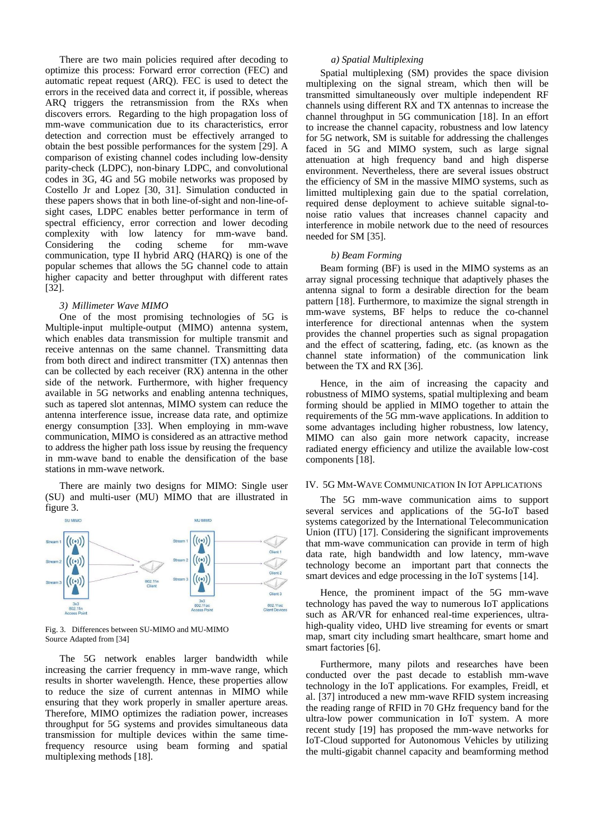There are two main policies required after decoding to optimize this process: Forward error correction (FEC) and automatic repeat request (ARQ). FEC is used to detect the errors in the received data and correct it, if possible, whereas ARQ triggers the retransmission from the RXs when discovers errors. Regarding to the high propagation loss of mm-wave communication due to its characteristics, error detection and correction must be effectively arranged to obtain the best possible performances for the system [29]. A comparison of existing channel codes including low-density parity-check (LDPC), non-binary LDPC, and convolutional codes in 3G, 4G and 5G mobile networks was proposed by Costello Jr and Lopez [30, 31]. Simulation conducted in these papers shows that in both line-of-sight and non-line-ofsight cases, LDPC enables better performance in term of spectral efficiency, error correction and lower decoding complexity with low latency for mm-wave band. Considering the coding scheme for mm-wave communication, type II hybrid ARQ (HARQ) is one of the popular schemes that allows the 5G channel code to attain higher capacity and better throughput with different rates [32].

### *3) Millimeter Wave MIMO*

One of the most promising technologies of 5G is Multiple-input multiple-output (MIMO) antenna system, which enables data transmission for multiple transmit and receive antennas on the same channel. Transmitting data from both direct and indirect transmitter (TX) antennas then can be collected by each receiver (RX) antenna in the other side of the network. Furthermore, with higher frequency available in 5G networks and enabling antenna techniques, such as tapered slot antennas, MIMO system can reduce the antenna interference issue, increase data rate, and optimize energy consumption [33]. When employing in mm-wave communication, MIMO is considered as an attractive method to address the higher path loss issue by reusing the frequency in mm-wave band to enable the densification of the base stations in mm-wave network.

There are mainly two designs for MIMO: Single user (SU) and multi-user (MU) MIMO that are illustrated in figure 3.



Fig. 3. Differences between SU-MIMO and MU-MIMO Source Adapted from [34]

The 5G network enables larger bandwidth while increasing the carrier frequency in mm-wave range, which results in shorter wavelength. Hence, these properties allow to reduce the size of current antennas in MIMO while ensuring that they work properly in smaller aperture areas. Therefore, MIMO optimizes the radiation power, increases throughput for 5G systems and provides simultaneous data transmission for multiple devices within the same timefrequency resource using beam forming and spatial multiplexing methods [18].

## *a) Spatial Multiplexing*

Spatial multiplexing (SM) provides the space division multiplexing on the signal stream, which then will be transmitted simultaneously over multiple independent RF channels using different RX and TX antennas to increase the channel throughput in 5G communication [18]. In an effort to increase the channel capacity, robustness and low latency for 5G network, SM is suitable for addressing the challenges faced in 5G and MIMO system, such as large signal attenuation at high frequency band and high disperse environment. Nevertheless, there are several issues obstruct the efficiency of SM in the massive MIMO systems, such as limitted multiplexing gain due to the spatial correlation, required dense deployment to achieve suitable signal-tonoise ratio values that increases channel capacity and interference in mobile network due to the need of resources needed for SM [35].

# *b) Beam Forming*

Beam forming (BF) is used in the MIMO systems as an array signal processing technique that adaptively phases the antenna signal to form a desirable direction for the beam pattern [18]. Furthermore, to maximize the signal strength in mm-wave systems, BF helps to reduce the co-channel interference for directional antennas when the system provides the channel properties such as signal propagation and the effect of scattering, fading, etc. (as known as the channel state information) of the communication link between the TX and RX [36].

Hence, in the aim of increasing the capacity and robustness of MIMO systems, spatial multiplexing and beam forming should be applied in MIMO together to attain the requirements of the 5G mm-wave applications. In addition to some advantages including higher robustness, low latency, MIMO can also gain more network capacity, increase radiated energy efficiency and utilize the available low-cost components [18].

# IV. 5G MM-WAVE COMMUNICATION IN IOT APPLICATIONS

The 5G mm-wave communication aims to support several services and applications of the 5G-IoT based systems categorized by the International Telecommunication Union (ITU) [17]. Considering the significant improvements that mm-wave communication can provide in term of high data rate, high bandwidth and low latency, mm-wave technology become an important part that connects the smart devices and edge processing in the IoT systems [14].

Hence, the prominent impact of the 5G mm-wave technology has paved the way to numerous IoT applications such as AR/VR for enhanced real-time experiences, ultrahigh-quality video, UHD live streaming for events or smart map, smart city including smart healthcare, smart home and smart factories [6].

Furthermore, many pilots and researches have been conducted over the past decade to establish mm-wave technology in the IoT applications. For examples, Freidl, et al. [37] introduced a new mm-wave RFID system increasing the reading range of RFID in 70 GHz frequency band for the ultra-low power communication in IoT system. A more recent study [19] has proposed the mm-wave networks for IoT-Cloud supported for Autonomous Vehicles by utilizing the multi-gigabit channel capacity and beamforming method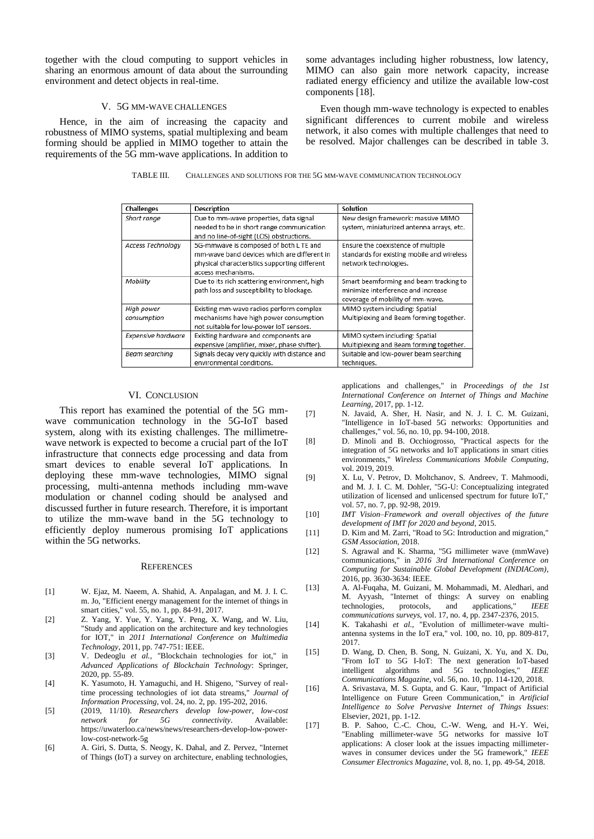together with the cloud computing to support vehicles in sharing an enormous amount of data about the surrounding environment and detect objects in real-time.

# V. 5G MM-WAVE CHALLENGES

Hence, in the aim of increasing the capacity and robustness of MIMO systems, spatial multiplexing and beam forming should be applied in MIMO together to attain the requirements of the 5G mm-wave applications. In addition to

some advantages including higher robustness, low latency, MIMO can also gain more network capacity, increase radiated energy efficiency and utilize the available low-cost components [18].

Even though mm-wave technology is expected to enables significant differences to current mobile and wireless network, it also comes with multiple challenges that need to be resolved. Major challenges can be described in table 3.

| TABLE III. | CHALLENGES AND SOLUTIONS FOR THE 5G MM-WAVE COMMUNICATION TECHNOLOGY |
|------------|----------------------------------------------------------------------|
|------------|----------------------------------------------------------------------|

| <b>Challenges</b>  | <b>Description</b>                            | Solution                                   |
|--------------------|-----------------------------------------------|--------------------------------------------|
| Short range        | Due to mm-wave properties, data signal        | New design framework: massive MIMO         |
|                    | needed to be in short range communication     | system, miniaturized antenna arrays, etc.  |
|                    | and no line-of-sight (LOS) obstructions.      |                                            |
| Access Technology  | 5G-mmwave is composed of both L TE and        | Ensure the coexistence of multiple         |
|                    | mm-wave band devices which are different in   | standards for existing mobile and wireless |
|                    | physical characteristics supporting different | network technologies.                      |
|                    | access mechanisms.                            |                                            |
| Mobility           | Due to its rich scattering environment, high  | Smart beamforming and beam tracking to     |
|                    | path loss and susceptibility to blockage.     | minimize interference and increase         |
|                    |                                               | coverage of mobility of mm-wave.           |
| High power         | Existing mm-wave radios perform complex       | MIMO system including: Spatial             |
| consumption        | mechanisms have high power consumption        | Multiplexing and Beam forming together.    |
|                    | not suitable for low-power IoT sensors.       |                                            |
| Expensive hardware | Existing hardware and components are          | MIMO system including: Spatial             |
|                    | expensive (amplifier, mixer, phase shifter).  | Multiplexing and Beam forming together.    |
| Beam searching     | Signals decay very quickly with distance and  | Suitable and low-power beam searching      |
|                    | environmental conditions.                     | techniques.                                |

#### VI. CONCLUSION

This report has examined the potential of the 5G mmwave communication technology in the 5G-IoT based system, along with its existing challenges. The millimetrewave network is expected to become a crucial part of the IoT infrastructure that connects edge processing and data from smart devices to enable several IoT applications. In deploying these mm-wave technologies, MIMO signal processing, multi-antenna methods including mm-wave modulation or channel coding should be analysed and discussed further in future research. Therefore, it is important to utilize the mm-wave band in the 5G technology to efficiently deploy numerous promising IoT applications within the 5G networks.

#### **REFERENCES**

- [1] W. Ejaz, M. Naeem, A. Shahid, A. Anpalagan, and M. J. I. C. m. Jo, "Efficient energy management for the internet of things in smart cities," vol. 55, no. 1, pp. 84-91, 2017.
- [2] Z. Yang, Y. Yue, Y. Yang, Y. Peng, X. Wang, and W. Liu, "Study and application on the architecture and key technologies for IOT," in *2011 International Conference on Multimedia Technology*, 2011, pp. 747-751: IEEE.
- [3] V. Dedeoglu *et al.*, "Blockchain technologies for iot," in *Advanced Applications of Blockchain Technology*: Springer, 2020, pp. 55-89.
- [4] K. Yasumoto, H. Yamaguchi, and H. Shigeno, "Survey of realtime processing technologies of iot data streams," *Journal of Information Processing,* vol. 24, no. 2, pp. 195-202, 2016.
- [5] (2019, 11/10). *Researchers develop low-power, low-cost network for 5G connectivity*. Available: https://uwaterloo.ca/news/news/researchers-develop-low-powerlow-cost-network-5g
- [6] A. Giri, S. Dutta, S. Neogy, K. Dahal, and Z. Pervez, "Internet of Things (IoT) a survey on architecture, enabling technologies,

applications and challenges," in *Proceedings of the 1st International Conference on Internet of Things and Machine Learning*, 2017, pp. 1-12.

- [7] N. Javaid, A. Sher, H. Nasir, and N. J. I. C. M. Guizani, "Intelligence in IoT-based 5G networks: Opportunities and challenges," vol. 56, no. 10, pp. 94-100, 2018.
- [8] D. Minoli and B. Occhiogrosso, "Practical aspects for the integration of 5G networks and IoT applications in smart cities environments," *Wireless Communications Mobile Computing,*  vol. 2019, 2019.
- [9] X. Lu, V. Petrov, D. Moltchanov, S. Andreev, T. Mahmoodi, and M. J. I. C. M. Dohler, "5G-U: Conceptualizing integrated utilization of licensed and unlicensed spectrum for future IoT," vol. 57, no. 7, pp. 92-98, 2019.
- [10] *IMT Vision–Framework and overall objectives of the future development of IMT for 2020 and beyond*, 2015.
- [11] D. Kim and M. Zarri, "Road to 5G: Introduction and migration," *GSM Association,* 2018.
- [12] S. Agrawal and K. Sharma, "5G millimeter wave (mmWave) communications," in *2016 3rd International Conference on Computing for Sustainable Global Development (INDIACom)*, 2016, pp. 3630-3634: IEEE.
- [13] A. Al-Fuqaha, M. Guizani, M. Mohammadi, M. Aledhari, and M. Ayyash, "Internet of things: A survey on enabling technologies, protocols, and applications," *IEEE communications surveys,* vol. 17, no. 4, pp. 2347-2376, 2015.
- [14] K. Takahashi *et al.*, "Evolution of millimeter-wave multiantenna systems in the IoT era," vol. 100, no. 10, pp. 809-817, 2017.
- [15] D. Wang, D. Chen, B. Song, N. Guizani, X. Yu, and X. Du, "From IoT to 5G I-IoT: The next generation IoT-based intelligent algorithms and 5G technologies," *IEEE Communications Magazine,* vol. 56, no. 10, pp. 114-120, 2018.
- [16] A. Srivastava, M. S. Gupta, and G. Kaur, "Impact of Artificial Intelligence on Future Green Communication," in *Artificial Intelligence to Solve Pervasive Internet of Things Issues*: Elsevier, 2021, pp. 1-12.
- [17] B. P. Sahoo, C.-C. Chou, C.-W. Weng, and H.-Y. Wei, "Enabling millimeter-wave 5G networks for massive IoT applications: A closer look at the issues impacting millimeterwaves in consumer devices under the 5G framework," *IEEE Consumer Electronics Magazine,* vol. 8, no. 1, pp. 49-54, 2018.